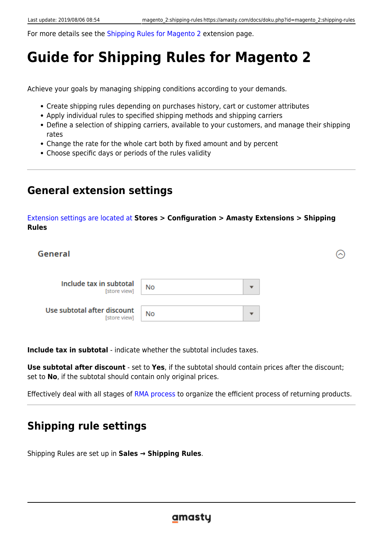For more details see the [Shipping Rules for Magento 2](https://amasty.com/shipping-rules-for-magento-2.html) extension page.

# **Guide for Shipping Rules for Magento 2**

Achieve your goals by managing shipping conditions according to your demands.

- Create shipping rules depending on purchases history, cart or customer attributes
- Apply individual rules to specified shipping methods and shipping carriers
- Define a selection of shipping carriers, available to your customers, and manage their shipping rates
- Change the rate for the whole cart both by fixed amount and by percent
- Choose specific days or periods of the rules validity

# **General extension settings**

## [Extension settings are located at](https://amasty.com/docs/lib/exe/fetch.php?media=magento_2:shipping_rules:general-settings.png) **Stores > Configuration > Amasty Extensions > Shipping Rules**

| General                                     |    |                          |  |
|---------------------------------------------|----|--------------------------|--|
| Include tax in subtotal<br>[store view]     | No | ▼                        |  |
| Use subtotal after discount<br>[store view] | No | $\overline{\phantom{a}}$ |  |

**Include tax in subtotal** - indicate whether the subtotal includes taxes.

**Use subtotal after discount** - set to **Yes**, if the subtotal should contain prices after the discount; set to **No**, if the subtotal should contain only original prices.

Effectively deal with all stages of [RMA process](https://amasty.com/rma-for-magento-2.html) to organize the efficient process of returning products.

# **Shipping rule settings**

Shipping Rules are set up in **Sales → Shipping Rules**.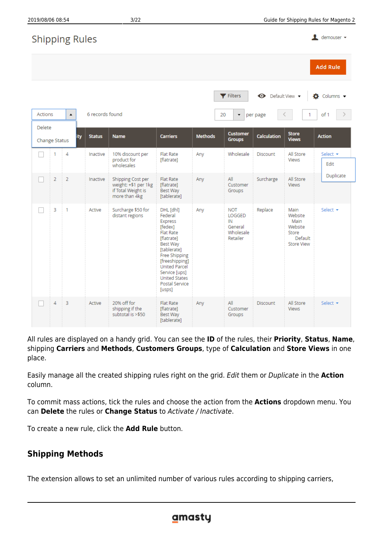| 2019/08/06 08:54        |                |                       |                 | 3/22                                                                                                                                                                                                   |                                                                                                                                                                                                                                         |                |                                                                |                         |                                                                             | Guide for Shipping Rules for Magento 2 |
|-------------------------|----------------|-----------------------|-----------------|--------------------------------------------------------------------------------------------------------------------------------------------------------------------------------------------------------|-----------------------------------------------------------------------------------------------------------------------------------------------------------------------------------------------------------------------------------------|----------------|----------------------------------------------------------------|-------------------------|-----------------------------------------------------------------------------|----------------------------------------|
|                         |                | <b>Shipping Rules</b> |                 |                                                                                                                                                                                                        |                                                                                                                                                                                                                                         |                |                                                                |                         |                                                                             | $\mathbf 1$ demouser $\mathbf -$       |
|                         |                |                       |                 |                                                                                                                                                                                                        |                                                                                                                                                                                                                                         |                |                                                                |                         |                                                                             | <b>Add Rule</b>                        |
|                         |                |                       |                 |                                                                                                                                                                                                        |                                                                                                                                                                                                                                         |                | <b>Y</b> Filters                                               | <b>←</b> Default View ▼ |                                                                             | $\bullet$ Columns $\bullet$            |
| <b>Actions</b>          |                | ▲                     | 6 records found |                                                                                                                                                                                                        |                                                                                                                                                                                                                                         | 20             | $\overline{\phantom{a}}$                                       | per page                |                                                                             | of 1                                   |
| Delete<br>Change Status |                | ity                   | <b>Status</b>   | <b>Name</b>                                                                                                                                                                                            | <b>Carriers</b>                                                                                                                                                                                                                         | <b>Methods</b> | <b>Customer</b><br><b>Groups</b>                               | <b>Calculation</b>      | <b>Store</b><br><b>Views</b>                                                | <b>Action</b>                          |
|                         | 1              | 4                     | Inactive        | 10% discount per<br>product for<br>wholesales                                                                                                                                                          | <b>Flat Rate</b><br>[flatrate]                                                                                                                                                                                                          | Any            | Wholesale                                                      | Discount                | All Store<br>Views                                                          | Select $\star$<br>Edit                 |
|                         | $\overline{2}$ | $\overline{2}$        | Inactive        | Shipping Cost per<br>weight: +\$1 per 1kg<br>if Total Weight is<br>more than 4kg                                                                                                                       | <b>Flat Rate</b><br>[flatrate]<br>Best Way<br>[tablerate]                                                                                                                                                                               | Any            | All<br>Customer<br>Groups                                      | Surcharge               | All Store<br><b>Views</b>                                                   | Duplicate                              |
|                         | 3              | 1                     | Active          | Surcharge \$50 for<br>distant regions                                                                                                                                                                  | DHL [dhl]<br>Federal<br>Express<br>[fedex]<br><b>Flat Rate</b><br>[flatrate]<br>Best Way<br>[tablerate]<br>Free Shipping<br>[freeshipping]<br><b>United Parcel</b><br>Service [ups]<br><b>United States</b><br>Postal Service<br>[usps] | Any            | <b>NOT</b><br>LOGGED<br>IN<br>General<br>Wholesale<br>Retailer | Replace                 | Main<br>Website<br>Main<br>Website<br>Store<br>Default<br><b>Store View</b> | Select $\star$                         |
|                         | 4              | 3                     | Active          | 20% off for<br>shipping if the<br>subtotal is >\$50                                                                                                                                                    | <b>Flat Rate</b><br>[flatrate]<br>Best Way<br>[tablerate]                                                                                                                                                                               | Any            | All<br>Customer<br>Groups                                      | Discount                | All Store<br>Views                                                          | Select $\star$                         |
| place.                  |                |                       |                 | All rules are displayed on a handy grid. You can see the ID of the rules, their Priority, Status, Name,<br>shipping Carriers and Methods, Customers Groups, type of Calculation and Store Views in one |                                                                                                                                                                                                                                         |                |                                                                |                         |                                                                             |                                        |

Easily manage all the created shipping rules right on the grid. Edit them or Duplicate in the **Action** column.

To commit mass actions, tick the rules and choose the action from the **Actions** dropdown menu. You can **Delete** the rules or **Change Status** to Activate / Inactivate.

To create a new rule, click the **Add Rule** button.

# **Shipping Methods**

The extension allows to set an unlimited number of various rules according to shipping carriers,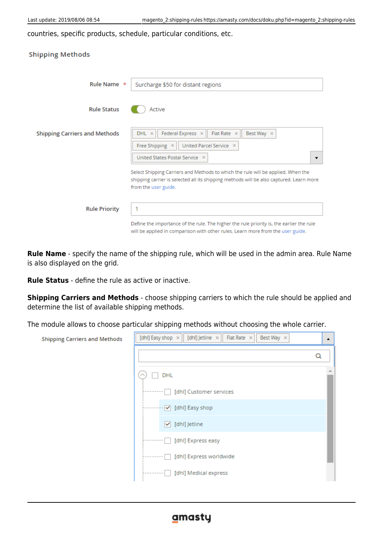countries, specific products, schedule, particular conditions, etc.

| <b>Shipping Methods</b>              |                                                                                                                                                                                                     |
|--------------------------------------|-----------------------------------------------------------------------------------------------------------------------------------------------------------------------------------------------------|
| Rule Name *                          | Surcharge \$50 for distant regions                                                                                                                                                                  |
| <b>Rule Status</b>                   | Active                                                                                                                                                                                              |
| <b>Shipping Carriers and Methods</b> | Federal Express X<br>$DHL \times$<br>Flat Rate $\times$<br>Best Way X<br>Free Shipping X<br>United Parcel Service X<br>United States Postal Service X<br>▼                                          |
|                                      | Select Shipping Carriers and Methods to which the rule will be applied. When the<br>shipping carrier is selected all its shipping methods will be also captured. Learn more<br>from the user guide. |
| <b>Rule Priority</b>                 | Define the importance of the rule. The higher the rule priority is, the earlier the rule<br>will be applied in comparison with other rules. Learn more from the user guide.                         |

**Rule Name** - specify the name of the shipping rule, which will be used in the admin area. Rule Name is also displayed on the grid.

**Rule Status** - define the rule as active or inactive.

**Shipping Carriers and Methods** - choose shipping carriers to which the rule should be applied and determine the list of available shipping methods.

The module allows to choose particular shipping methods without choosing the whole carrier.

| <b>Shipping Carriers and Methods</b> | Flat Rate $\times$<br>[dhl] Jetline ×<br>[dhl] Easy shop $\times$<br>Best Way X | ▲ |
|--------------------------------------|---------------------------------------------------------------------------------|---|
|                                      |                                                                                 | Q |
|                                      | <b>DHL</b>                                                                      |   |
|                                      | [dhl] Customer services                                                         |   |
|                                      | [dhl] Easy shop<br>$\overline{\mathbf{v}}$                                      |   |
|                                      | [dhl] Jetline<br>⊻                                                              |   |
|                                      | [dhl] Express easy                                                              |   |
|                                      | [dhl] Express worldwide                                                         |   |
|                                      | [dhl] Medical express                                                           |   |
|                                      |                                                                                 |   |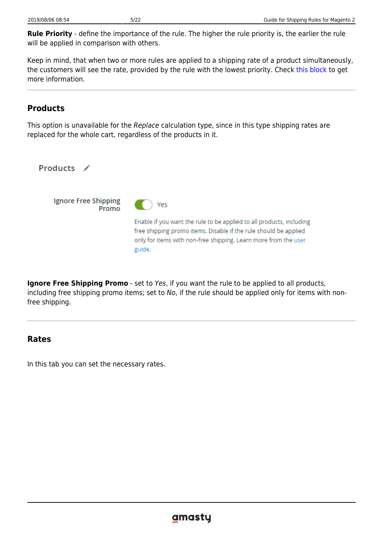**Rule Priority** - define the importance of the rule. The higher the rule priority is, the earlier the rule will be applied in comparison with others.

Keep in mind, that when two or more rules are applied to a shipping rate of a product simultaneously, the customers will see the rate, provided by the rule with the lowest priority. Check [this block](https://amasty.com/docs/doku.php?id=magento_2:shipping-rules#check_if_there_are_no_other_activated_rules_that_are_not_needed) to get more information.

# **Products**

This option is unavailable for the Replace calculation type, since in this type shipping rates are replaced for the whole cart, regardless of the products in it.

Products  $\lambda$ Ignore Free Shipping Yes Promo Enable if you want the rule to be applied to all products, including free shipping promo items. Disable if the rule should be applied only for items with non-free shipping. Learn more from the user guide.

**Ignore Free Shipping Promo** - set to Yes, if you want the rule to be applied to all products, including free shipping promo items; set to No, if the rule should be applied only for items with nonfree shipping.

## **Rates**

In this tab you can set the necessary rates.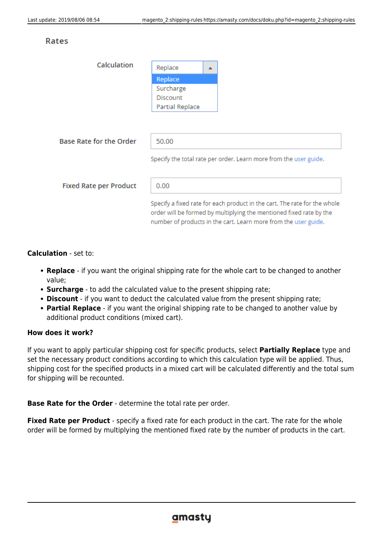## **Rates**

| Calculation                    | Replace                | ▲ |                                                                                                                                                                                                                     |
|--------------------------------|------------------------|---|---------------------------------------------------------------------------------------------------------------------------------------------------------------------------------------------------------------------|
|                                | Replace                |   |                                                                                                                                                                                                                     |
|                                | Surcharge              |   |                                                                                                                                                                                                                     |
|                                | <b>Discount</b>        |   |                                                                                                                                                                                                                     |
|                                | <b>Partial Replace</b> |   |                                                                                                                                                                                                                     |
|                                |                        |   |                                                                                                                                                                                                                     |
|                                |                        |   |                                                                                                                                                                                                                     |
| <b>Base Rate for the Order</b> | 50.00                  |   |                                                                                                                                                                                                                     |
|                                |                        |   | Specify the total rate per order. Learn more from the user guide.                                                                                                                                                   |
| <b>Fixed Rate per Product</b>  | 0.00                   |   |                                                                                                                                                                                                                     |
|                                |                        |   | Specify a fixed rate for each product in the cart. The rate for the whole<br>order will be formed by multiplying the mentioned fixed rate by the<br>number of products in the cart. Learn more from the user guide. |

**Calculation** - set to:

- **Replace** if you want the original shipping rate for the whole cart to be changed to another value;
- **Surcharge** to add the calculated value to the present shipping rate;
- **Discount** if you want to deduct the calculated value from the present shipping rate;
- **Partial Replace** if you want the original shipping rate to be changed to another value by additional product conditions (mixed cart).

## **How does it work?**

If you want to apply particular shipping cost for specific products, select **Partially Replace** type and set the necessary product conditions according to which this calculation type will be applied. Thus, shipping cost for the specified products in a mixed cart will be calculated differently and the total sum for shipping will be recounted.

## **Base Rate for the Order** - determine the total rate per order.

**Fixed Rate per Product** - specify a fixed rate for each product in the cart. The rate for the whole order will be formed by multiplying the mentioned fixed rate by the number of products in the cart.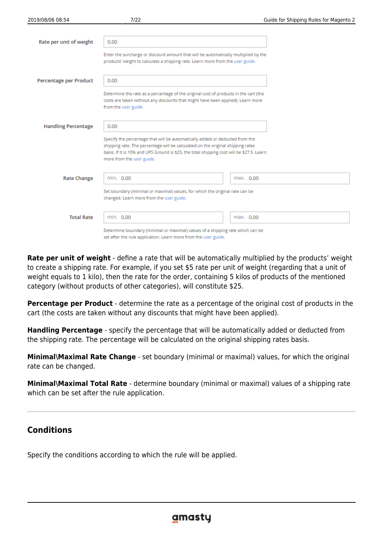| Rate per unit of weight    | 0.00                                                                                                                                                                                                                                                                                              |           |  |  |
|----------------------------|---------------------------------------------------------------------------------------------------------------------------------------------------------------------------------------------------------------------------------------------------------------------------------------------------|-----------|--|--|
|                            | Enter the surcharge or discount amount that will be automatically multiplied by the<br>products' weight to calculate a shipping rate. Learn more from the user guide.                                                                                                                             |           |  |  |
| Percentage per Product     | 0.00                                                                                                                                                                                                                                                                                              |           |  |  |
|                            | Determine the rate as a percentage of the original cost of products in the cart (the<br>costs are taken without any discounts that might have been applied). Learn more<br>from the user guide.                                                                                                   |           |  |  |
| <b>Handling Percentage</b> | 0.00<br>Specify the percentage that will be automatically added or deducted from the<br>shipping rate. The percentage will be calculated on the original shipping rates<br>basis. If it is 10% and UPS Ground is \$25, the total shipping cost will be \$27.5. Learn<br>more from the user guide. |           |  |  |
| <b>Rate Change</b>         | min. 0.00<br>max. 0.00<br>Set boundary (minimal or maximal) values, for which the original rate can be<br>changed. Learn more from the user guide.                                                                                                                                                |           |  |  |
| <b>Total Rate</b>          | min. 0.00<br>Determine boundary (minimal or maximal) values of a shipping rate which can be<br>set after the rule application. Learn more from the user guide.                                                                                                                                    | max. 0.00 |  |  |

**Rate per unit of weight** - define a rate that will be automatically multiplied by the products' weight to create a shipping rate. For example, if you set \$5 rate per unit of weight (regarding that a unit of weight equals to 1 kilo), then the rate for the order, containing 5 kilos of products of the mentioned category (without products of other categories), will constitute \$25.

**Percentage per Product** - determine the rate as a percentage of the original cost of products in the cart (the costs are taken without any discounts that might have been applied).

**Handling Percentage** - specify the percentage that will be automatically added or deducted from the shipping rate. The percentage will be calculated on the original shipping rates basis.

**Minimal\Maximal Rate Change** - set boundary (minimal or maximal) values, for which the original rate can be changed.

**Minimal\Maximal Total Rate** - determine boundary (minimal or maximal) values of a shipping rate which can be set after the rule application.

## **Conditions**

Specify the conditions according to which the rule will be applied.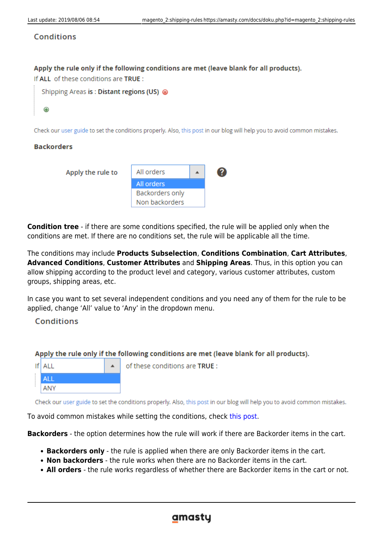## Conditions

## Apply the rule only if the following conditions are met (leave blank for all products).

If ALL of these conditions are TRUE :



Check our user guide to set the conditions properly. Also, this post in our blog will help you to avoid common mistakes.

## **Backorders**

| Apply the rule to | All orders      |  |
|-------------------|-----------------|--|
|                   | All orders      |  |
|                   | Backorders only |  |
|                   | Non backorders  |  |

**Condition tree** - if there are some conditions specified, the rule will be applied only when the conditions are met. If there are no conditions set, the rule will be applicable all the time.

The conditions may include **Products Subselection**, **Conditions Combination**, **Cart Attributes**, **Advanced Conditions**, **Customer Attributes** and **Shipping Areas**. Thus, in this option you can allow shipping according to the product level and category, various customer attributes, custom groups, shipping areas, etc.

In case you want to set several independent conditions and you need any of them for the rule to be applied, change 'All' value to 'Any' in the dropdown menu.

## Conditions

## Apply the rule only if the following conditions are met (leave blank for all products).



of these conditions are TRUE :

Check our user guide to set the conditions properly. Also, this post in our blog will help you to avoid common mistakes.

To avoid common mistakes while setting the conditions, check [this post.](https://amasty.com/blog/use-magento-rules-properly-common-mistakes-corrected/?utm_source=extension&utm_medium=hint&utm_campaign=shrestr-m2-07_2)

**Backorders** - the option determines how the rule will work if there are Backorder items in the cart.

- **Backorders only** the rule is applied when there are only Backorder items in the cart.
- **Non backorders** the rule works when there are no Backorder items in the cart.
- **All orders** the rule works regardless of whether there are Backorder items in the cart or not.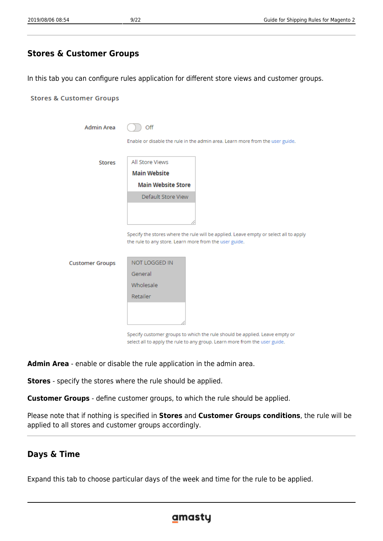## **Stores & Customer Groups**

In this tab you can configure rules application for different store views and customer groups.

| <b>Stores &amp; Customer Groups</b> |                                                        |                                                                                                                                                           |
|-------------------------------------|--------------------------------------------------------|-----------------------------------------------------------------------------------------------------------------------------------------------------------|
|                                     |                                                        |                                                                                                                                                           |
| <b>Admin Area</b>                   | Off                                                    |                                                                                                                                                           |
|                                     |                                                        | Enable or disable the rule in the admin area. Learn more from the user guide.                                                                             |
| <b>Stores</b>                       | All Store Views                                        |                                                                                                                                                           |
|                                     | <b>Main Website</b>                                    |                                                                                                                                                           |
|                                     | <b>Main Website Store</b>                              |                                                                                                                                                           |
|                                     | Default Store View                                     |                                                                                                                                                           |
|                                     |                                                        |                                                                                                                                                           |
|                                     |                                                        |                                                                                                                                                           |
|                                     | the rule to any store. Learn more from the user guide. | Specify the stores where the rule will be applied. Leave empty or select all to apply                                                                     |
| <b>Customer Groups</b>              | <b>NOT LOGGED IN</b>                                   |                                                                                                                                                           |
|                                     | General                                                |                                                                                                                                                           |
|                                     | Wholesale                                              |                                                                                                                                                           |
|                                     | Retailer                                               |                                                                                                                                                           |
|                                     |                                                        |                                                                                                                                                           |
|                                     |                                                        | Specify customer groups to which the rule should be applied. Leave empty or<br>select all to apply the rule to any group. Learn more from the user guide. |

**Admin Area** - enable or disable the rule application in the admin area.

**Stores** - specify the stores where the rule should be applied.

**Customer Groups** - define customer groups, to which the rule should be applied.

Please note that if nothing is specified in **Stores** and **Customer Groups conditions**, the rule will be applied to all stores and customer groups accordingly.

## **Days & Time**

Expand this tab to choose particular days of the week and time for the rule to be applied.

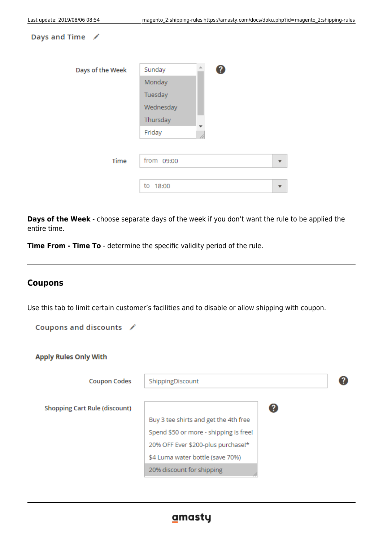#### Days and Time /

| Days of the Week | Sunday<br>З  |  |
|------------------|--------------|--|
|                  | Monday       |  |
|                  | Tuesday      |  |
|                  | Wednesday    |  |
|                  | Thursday     |  |
|                  | Friday<br>// |  |
|                  |              |  |
| Time             | from 09:00   |  |
|                  |              |  |
|                  | to<br>18:00  |  |

**Days of the Week** - choose separate days of the week if you don't want the rule to be applied the entire time.

**Time From - Time To** - determine the specific validity period of the rule.

## **Coupons**

Use this tab to limit certain customer's facilities and to disable or allow shipping with coupon.

Coupons and discounts /

| <b>Apply Rules Only With</b>         |                                        |    |  |  |
|--------------------------------------|----------------------------------------|----|--|--|
| <b>Coupon Codes</b>                  | ShippingDiscount                       |    |  |  |
| <b>Shopping Cart Rule (discount)</b> |                                        | (? |  |  |
|                                      | Buy 3 tee shirts and get the 4th free  |    |  |  |
|                                      | Spend \$50 or more - shipping is free! |    |  |  |
|                                      | 20% OFF Ever \$200-plus purchase!*     |    |  |  |
|                                      | \$4 Luma water bottle (save 70%)       |    |  |  |
|                                      | 20% discount for shipping              |    |  |  |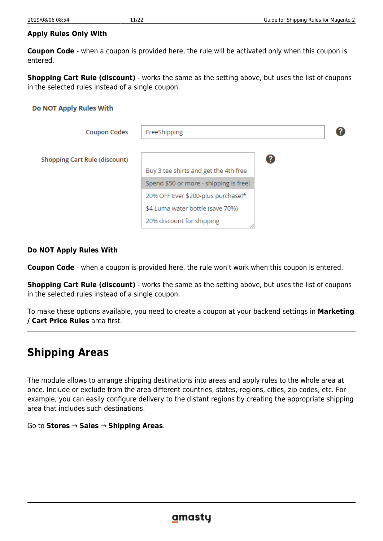## **Apply Rules Only With**

**Coupon Code** - when a coupon is provided here, the rule will be activated only when this coupon is entered.

**Shopping Cart Rule (discount)** - works the same as the setting above, but uses the list of coupons in the selected rules instead of a single coupon.

## Do NOT Apply Rules With

| <b>Coupon Codes</b>                  | FreeShipping                           |   |
|--------------------------------------|----------------------------------------|---|
| <b>Shopping Cart Rule (discount)</b> |                                        | 0 |
|                                      | Buy 3 tee shirts and get the 4th free  |   |
|                                      | Spend \$50 or more - shipping is free! |   |
|                                      | 20% OFF Ever \$200-plus purchase!*     |   |
|                                      | \$4 Luma water bottle (save 70%)       |   |
|                                      | 20% discount for shipping              |   |

## **Do NOT Apply Rules With**

**Coupon Code** - when a coupon is provided here, the rule won't work when this coupon is entered.

**Shopping Cart Rule (discount)** - works the same as the setting above, but uses the list of coupons in the selected rules instead of a single coupon.

To make these options available, you need to create a coupon at your backend settings in **Marketing / Cart Price Rules** area first.

# **Shipping Areas**

The module allows to arrange shipping destinations into areas and apply rules to the whole area at once. Include or exclude from the area different countries, states, regions, cities, zip codes, etc. For example, you can easily configure delivery to the distant regions by creating the appropriate shipping area that includes such destinations.

Go to **Stores → Sales → Shipping Areas**.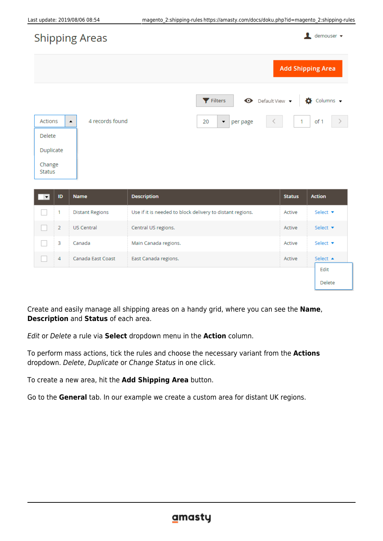$\bullet$  demouser  $\bullet$ 

# **Shipping Areas**

| <u>the property of the company of the company of the company of the company of the company of the company of the company of the company of the company of the company of the company of the company of the company of the compan</u> |                 |                                                                            |
|--------------------------------------------------------------------------------------------------------------------------------------------------------------------------------------------------------------------------------------|-----------------|----------------------------------------------------------------------------|
|                                                                                                                                                                                                                                      |                 | <b>Add Shipping Area</b>                                                   |
|                                                                                                                                                                                                                                      |                 | $\bullet$ Default View $\bullet$<br>Filters<br>$\bullet$ Columns $\bullet$ |
| Actions<br>$\blacktriangle$                                                                                                                                                                                                          | 4 records found | $\prec$<br>of 1<br>$-1$<br>20<br>$\blacktriangleright$ per page            |
| Delete                                                                                                                                                                                                                               |                 |                                                                            |
| Duplicate                                                                                                                                                                                                                            |                 |                                                                            |
| Change<br>Status                                                                                                                                                                                                                     |                 |                                                                            |

| ID | <b>Name</b>            | <b>Description</b>                                        | <b>Status</b> | <b>Action</b>      |
|----|------------------------|-----------------------------------------------------------|---------------|--------------------|
|    | <b>Distant Regions</b> | Use if it is needed to block delivery to distant regions. | Active        | Select v           |
| 2  | <b>US Central</b>      | Central US regions.                                       | Active        | Select v           |
| 3  | Canada                 | Main Canada regions.                                      | Active        | Select v           |
| 4  | Canada East Coast      | East Canada regions.                                      | Active        | Select $\triangle$ |
|    |                        |                                                           |               | Edit               |
|    |                        |                                                           |               | Delete             |

Create and easily manage all shipping areas on a handy grid, where you can see the **Name**, **Description** and **Status** of each area.

Edit or Delete a rule via **Select** dropdown menu in the **Action** column.

To perform mass actions, tick the rules and choose the necessary variant from the **Actions** dropdown. Delete, Duplicate or Change Status in one click.

To create a new area, hit the **Add Shipping Area** button.

Go to the **General** tab. In our example we create a custom area for distant UK regions.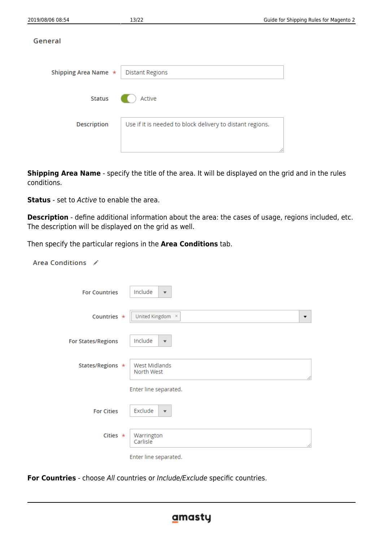| Shipping Area Name * | <b>Distant Regions</b>                                    |  |
|----------------------|-----------------------------------------------------------|--|
| Status               | Active                                                    |  |
| <b>Description</b>   | Use if it is needed to block delivery to distant regions. |  |
|                      |                                                           |  |

**Shipping Area Name** - specify the title of the area. It will be displayed on the grid and in the rules conditions.

**Status** - set to Active to enable the area.

**Description** - define additional information about the area: the cases of usage, regions included, etc. The description will be displayed on the grid as well.

Then specify the particular regions in the **Area Conditions** tab.

| Area Conditions /         |                                    |
|---------------------------|------------------------------------|
| <b>For Countries</b>      | Include<br>$\blacktriangledown$    |
| Countries *               | United Kingdom ×<br>▼              |
| <b>For States/Regions</b> | Include<br>$\overline{\mathbf{v}}$ |
| States/Regions *          | West Midlands<br>North West<br>∕∕  |
|                           | Enter line separated.              |
| <b>For Cities</b>         | Exclude<br>$\overline{\mathbf{v}}$ |
| Cities $\star$            | Warrington<br>Carlisle<br>4        |
|                           | Enter line separated.              |

**For Countries** - choose All countries or Include/Exclude specific countries.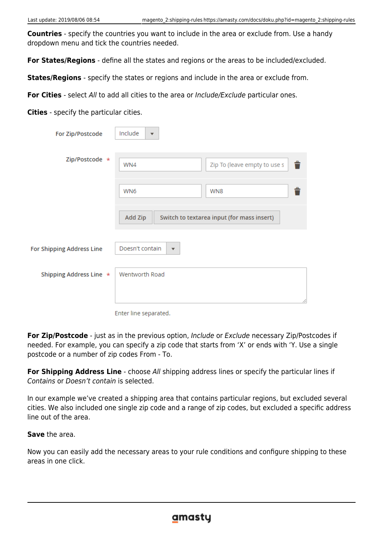**Countries** - specify the countries you want to include in the area or exclude from. Use a handy dropdown menu and tick the countries needed.

**For States/Regions** - define all the states and regions or the areas to be included/excluded.

**States/Regions** - specify the states or regions and include in the area or exclude from.

**For Cities** - select All to add all cities to the area or Include/Exclude particular ones.

**Cities** - specify the particular cities.

| For Zip/Postcode          | Include<br>$\blacktriangledown$            |                                            |
|---------------------------|--------------------------------------------|--------------------------------------------|
| Zip/Postcode *            | WN4                                        | Ê<br>Zip To (leave empty to use s          |
|                           | WN6                                        | WN8                                        |
|                           | Add Zip                                    | Switch to textarea input (for mass insert) |
| For Shipping Address Line | Doesn't contain<br>$\overline{\mathbf{v}}$ |                                            |
| Shipping Address Line *   | Wentworth Road                             |                                            |
|                           |                                            |                                            |

Enter line separated.

**For Zip/Postcode** - just as in the previous option, Include or Exclude necessary Zip/Postcodes if needed. For example, you can specify a zip code that starts from 'X' or ends with 'Y. Use a single postcode or a number of zip codes From - To.

**For Shipping Address Line** - choose All shipping address lines or specify the particular lines if Contains or Doesn't contain is selected.

In our example we've created a shipping area that contains particular regions, but excluded several cities. We also included one single zip code and a range of zip codes, but excluded a specific address line out of the area.

**Save** the area.

Ï

Now you can easily add the necessary areas to your rule conditions and configure shipping to these areas in one click.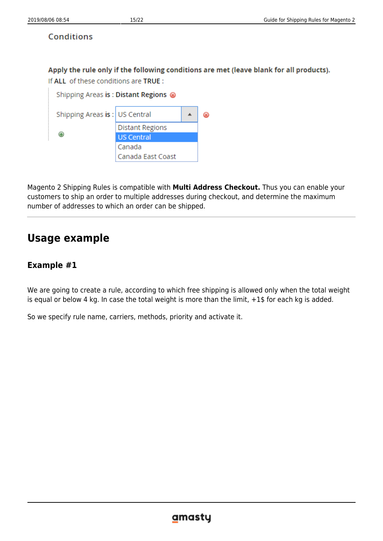## **Conditions**

Apply the rule only if the following conditions are met (leave blank for all products).

If ALL of these conditions are TRUE:

|                                 | Shipping Areas is: Distant Regions @ |  |
|---------------------------------|--------------------------------------|--|
| Shipping Areas is:   US Central |                                      |  |
|                                 | <b>Distant Regions</b>               |  |
| Ð                               | <b>US Central</b>                    |  |
|                                 | Canada                               |  |
|                                 | Canada East Coast                    |  |

Magento 2 Shipping Rules is compatible with **Multi Address Checkout.** Thus you can enable your customers to ship an order to multiple addresses during checkout, and determine the maximum number of addresses to which an order can be shipped.

# **Usage example**

# **Example #1**

We are going to create a rule, according to which free shipping is allowed only when the total weight is equal or below 4 kg. In case the total weight is more than the limit, +1\$ for each kg is added.

So we specify rule name, carriers, methods, priority and activate it.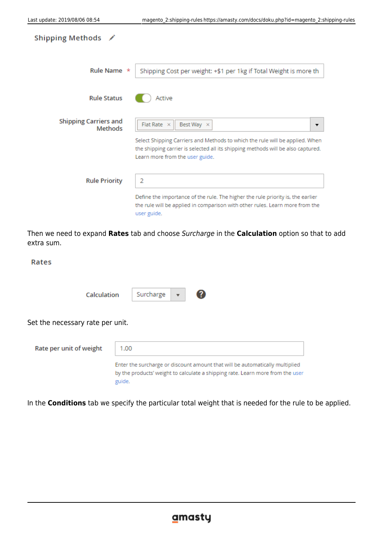| Shipping Methods $\nearrow$             |                                                                                                                                                                                                                                              |
|-----------------------------------------|----------------------------------------------------------------------------------------------------------------------------------------------------------------------------------------------------------------------------------------------|
| Rule Name *                             | Shipping Cost per weight: +\$1 per 1kg if Total Weight is more th                                                                                                                                                                            |
| <b>Rule Status</b>                      | Active                                                                                                                                                                                                                                       |
| <b>Shipping Carriers and</b><br>Methods | Flat Rate $\times$<br>Best Way X<br>▼<br>Select Shipping Carriers and Methods to which the rule will be applied. When<br>the shipping carrier is selected all its shipping methods will be also captured.<br>Learn more from the user guide. |
| <b>Rule Priority</b>                    | 2<br>Define the importance of the rule. The higher the rule priority is, the earlier<br>the rule will be applied in comparison with other rules. Learn more from the<br>user guide.                                                          |

Then we need to expand **Rates** tab and choose Surcharge in the **Calculation** option so that to add extra sum.

#### Rates

Calculation



Set the necessary rate per unit.

| Rate per unit of weight | 1.00                                                                                                                                                                     |
|-------------------------|--------------------------------------------------------------------------------------------------------------------------------------------------------------------------|
|                         | Enter the surcharge or discount amount that will be automatically multiplied<br>by the products' weight to calculate a shipping rate. Learn more from the user<br>guide. |

Surcharge

In the **Conditions** tab we specify the particular total weight that is needed for the rule to be applied.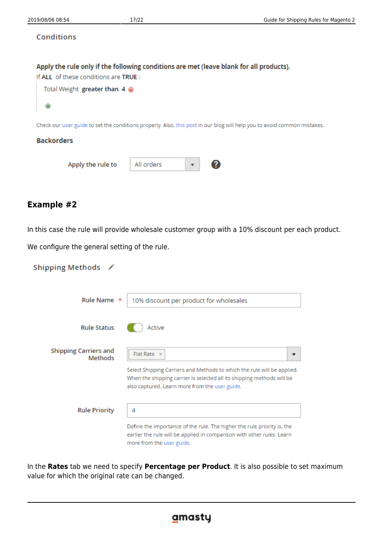#### **Conditions**

#### Apply the rule only if the following conditions are met (leave blank for all products).

If ALL of these conditions are TRUE:

|             | Total Weight greater than 4 @ |  |
|-------------|-------------------------------|--|
| $\bigoplus$ |                               |  |

Check our user guide to set the conditions properly. Also, this post in our blog will help you to avoid common mistakes.

#### **Backorders**

Apply the rule to

| All orders |  |  |
|------------|--|--|
|------------|--|--|

## **Example #2**

In this case the rule will provide wholesale customer group with a 10% discount per each product.

We configure the general setting of the rule.

## Shipping Methods /

| Rule Name *                             | 10% discount per product for wholesales                                                                                                                                                                                   |
|-----------------------------------------|---------------------------------------------------------------------------------------------------------------------------------------------------------------------------------------------------------------------------|
| <b>Rule Status</b>                      | Active                                                                                                                                                                                                                    |
| <b>Shipping Carriers and</b><br>Methods | $Flat Rate \times$<br>Select Shipping Carriers and Methods to which the rule will be applied.<br>When the shipping carrier is selected all its shipping methods will be<br>also captured. Learn more from the user guide. |
| <b>Rule Priority</b>                    | 4<br>Define the importance of the rule. The higher the rule priority is, the<br>earlier the rule will be applied in comparison with other rules. Learn<br>more from the user guide.                                       |

In the **Rates** tab we need to specify **Percentage per Product**. It is also possible to set maximum value for which the original rate can be changed.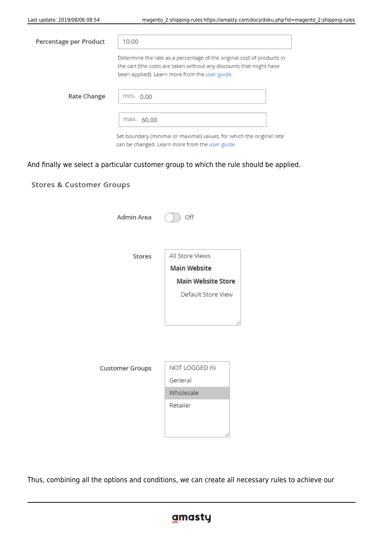**Stores & Customer Groups** 

| Percentage per Product | 10.00                                                                                                                                                                                           |
|------------------------|-------------------------------------------------------------------------------------------------------------------------------------------------------------------------------------------------|
|                        | Determine the rate as a percentage of the original cost of products in<br>the cart (the costs are taken without any discounts that might have<br>been applied). Learn more from the user guide. |
| <b>Rate Change</b>     | min. 0.00                                                                                                                                                                                       |
|                        | max. 60.00                                                                                                                                                                                      |
|                        | Set boundary (minimal or maximal) values, for which the original rate<br>can be changed. Learn more from the user guide.                                                                        |

And finally we select a particular customer group to which the rule should be applied.

| <b>Admin Area</b>      | Off                       |
|------------------------|---------------------------|
| <b>Stores</b>          | All Store Views           |
|                        | <b>Main Website</b>       |
|                        | <b>Main Website Store</b> |
|                        | Default Store View        |
|                        |                           |
| <b>Customer Groups</b> | NOT LOGGED IN             |
|                        | General                   |
|                        | Wholesale                 |
|                        | Retailer                  |

Thus, combining all the options and conditions, we can create all necessary rules to achieve our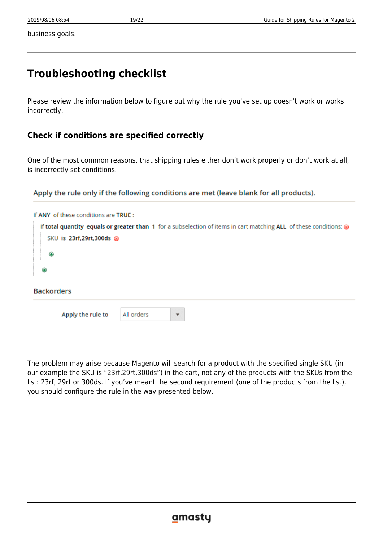business goals.

# **Troubleshooting checklist**

Please review the information below to figure out why the rule you've set up doesn't work or works incorrectly.

# **Check if conditions are specified correctly**

One of the most common reasons, that shipping rules either don't work properly or don't work at all, is incorrectly set conditions.

Apply the rule only if the following conditions are met (leave blank for all products).

The problem may arise because Magento will search for a product with the specified single SKU (in our example the SKU is "23rf,29rt,300ds") in the cart, not any of the products with the SKUs from the list: 23rf, 29rt or 300ds. If you've meant the second requirement (one of the products from the list), you should configure the rule in the way presented below.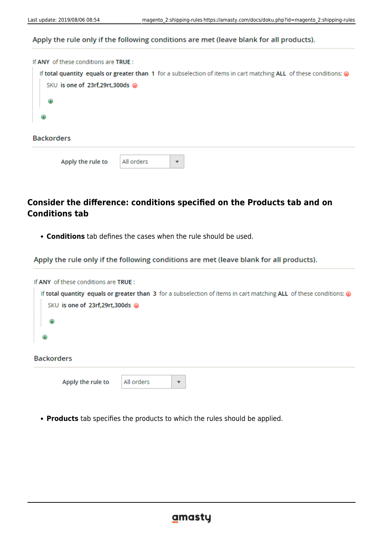## Apply the rule only if the following conditions are met (leave blank for all products).

| If ANY of these conditions are TRUE:                                                                               |
|--------------------------------------------------------------------------------------------------------------------|
| If total quantity equals or greater than 1 for a subselection of items in cart matching ALL of these conditions: @ |
| SKU is one of 23rf,29rt,300ds @                                                                                    |
| ⊕                                                                                                                  |
| ⊕                                                                                                                  |
| <b>Backorders</b>                                                                                                  |
| All orders<br>Apply the rule to<br>▼                                                                               |

# **Consider the difference: conditions specified on the Products tab and on Conditions tab**

**Conditions** tab defines the cases when the rule should be used.

Apply the rule only if the following conditions are met (leave blank for all products).

| If ANY of these conditions are TRUE : |                                       |                                                                                                                    |
|---------------------------------------|---------------------------------------|--------------------------------------------------------------------------------------------------------------------|
| SKU is one of 23rf,29rt,300ds @       |                                       | If total quantity equals or greater than 3 for a subselection of items in cart matching ALL of these conditions: @ |
| ◉                                     |                                       |                                                                                                                    |
| ⊕                                     |                                       |                                                                                                                    |
| <b>Backorders</b>                     |                                       |                                                                                                                    |
| Apply the rule to                     | All orders<br>$\overline{\mathbf{v}}$ |                                                                                                                    |

**Products** tab specifies the products to which the rules should be applied.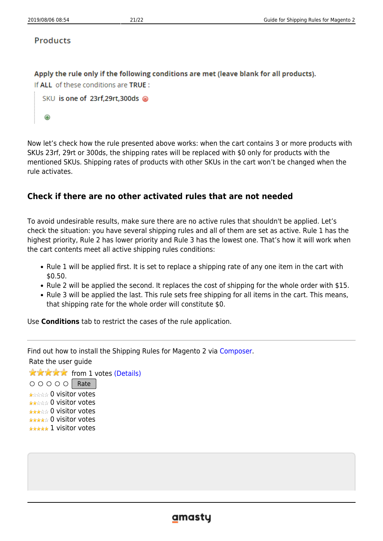## **Products**

Apply the rule only if the following conditions are met (leave blank for all products). If ALL of these conditions are TRUE:

```
SKU is one of 23rf,29rt,300ds @
Θ
```
Now let's check how the rule presented above works: when the cart contains 3 or more products with SKUs 23rf, 29rt or 300ds, the shipping rates will be replaced with \$0 only for products with the mentioned SKUs. Shipping rates of products with other SKUs in the cart won't be changed when the rule activates.

## **Check if there are no other activated rules that are not needed**

To avoid undesirable results, make sure there are no active rules that shouldn't be applied. Let's check the situation: you have several shipping rules and all of them are set as active. Rule 1 has the highest priority, Rule 2 has lower priority and Rule 3 has the lowest one. That's how it will work when the cart contents meet all active shipping rules conditions:

- Rule 1 will be applied first. It is set to replace a shipping rate of any one item in the cart with \$0.50.
- Rule 2 will be applied the second. It replaces the cost of shipping for the whole order with \$15.
- Rule 3 will be applied the last. This rule sets free shipping for all items in the cart. This means, that shipping rate for the whole order will constitute \$0.

Use **Conditions** tab to restrict the cases of the rule application.

Find out how to install the Shipping Rules for Magento 2 via [Composer.](https://amasty.com/docs/doku.php?id=magento_2:composer_user_guide)

Rate the user guide

**★★★★★** from 1 votes [\(Details\)](#rateanker_9292325d494061e2dd67.32222817)  $\circ \circ \circ \circ$  Rate \*\*\*\*\* 0 visitor votes \*\*\*\*\* 0 visitor votes \*\*\*\*\* 0 visitor votes \*\*\*\*\* 0 visitor votes \*\*\*\*\* 1 visitor votes